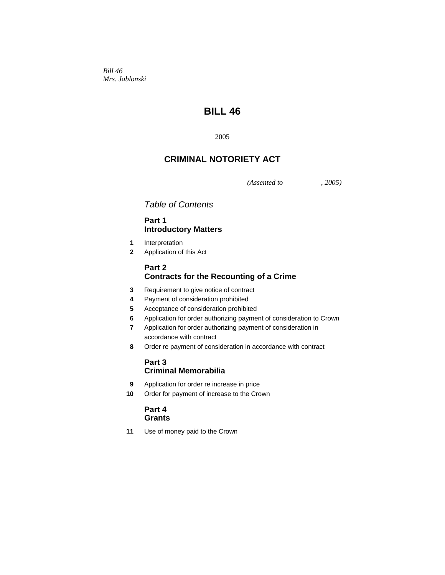*Bill 46 Mrs. Jablonski* 

# **BILL 46**

2005

# **CRIMINAL NOTORIETY ACT**

*(Assented to , 2005)* 

*Table of Contents* 

# **Part 1 Introductory Matters**

- **1** Interpretation
- **2** Application of this Act

# **Part 2 Contracts for the Recounting of a Crime**

- **3** Requirement to give notice of contract
- **4** Payment of consideration prohibited
- **5** Acceptance of consideration prohibited
- **6** Application for order authorizing payment of consideration to Crown
- **7** Application for order authorizing payment of consideration in accordance with contract
- **8** Order re payment of consideration in accordance with contract

# **Part 3 Criminal Memorabilia**

- **9** Application for order re increase in price
- **10** Order for payment of increase to the Crown

## **Part 4 Grants**

**11** Use of money paid to the Crown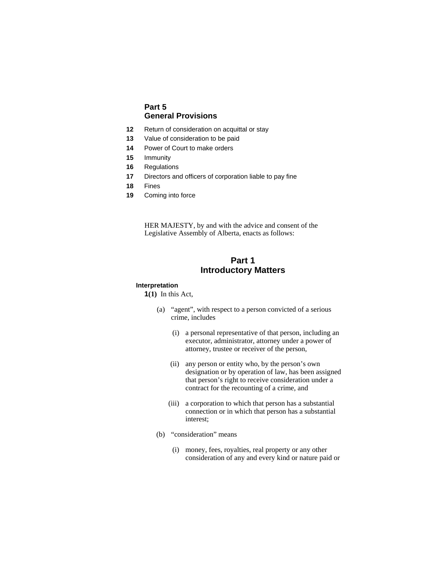## **Part 5 General Provisions**

- **12** Return of consideration on acquittal or stay
- **13** Value of consideration to be paid
- **14** Power of Court to make orders
- **15** Immunity
- **16** Regulations
- **17** Directors and officers of corporation liable to pay fine
- **18** Fines
- **19** Coming into force

HER MAJESTY, by and with the advice and consent of the Legislative Assembly of Alberta, enacts as follows:

# **Part 1 Introductory Matters**

#### **Interpretation**

**1(1)** In this Act,

- (a) "agent", with respect to a person convicted of a serious crime, includes
	- (i) a personal representative of that person, including an executor, administrator, attorney under a power of attorney, trustee or receiver of the person,
	- (ii) any person or entity who, by the person's own designation or by operation of law, has been assigned that person's right to receive consideration under a contract for the recounting of a crime, and
	- (iii) a corporation to which that person has a substantial connection or in which that person has a substantial interest;
- (b) "consideration" means
	- (i) money, fees, royalties, real property or any other consideration of any and every kind or nature paid or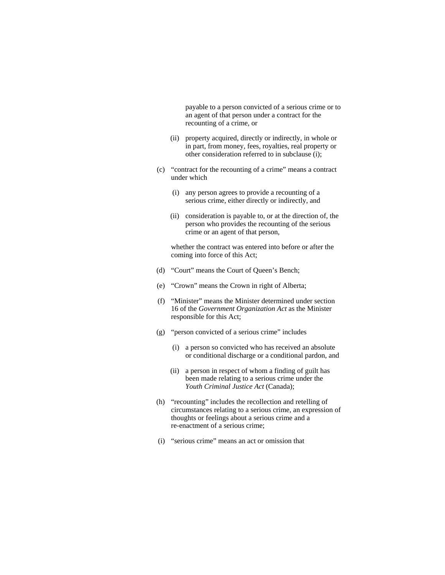payable to a person convicted of a serious crime or to an agent of that person under a contract for the recounting of a crime, or

- (ii) property acquired, directly or indirectly, in whole or in part, from money, fees, royalties, real property or other consideration referred to in subclause (i);
- (c) "contract for the recounting of a crime" means a contract under which
	- (i) any person agrees to provide a recounting of a serious crime, either directly or indirectly, and
	- (ii) consideration is payable to, or at the direction of, the person who provides the recounting of the serious crime or an agent of that person,

 whether the contract was entered into before or after the coming into force of this Act;

- (d) "Court" means the Court of Queen's Bench;
- (e) "Crown" means the Crown in right of Alberta;
- (f) "Minister" means the Minister determined under section 16 of the *Government Organization Act* as the Minister responsible for this Act;
- (g) "person convicted of a serious crime" includes
	- (i) a person so convicted who has received an absolute or conditional discharge or a conditional pardon, and
	- (ii) a person in respect of whom a finding of guilt has been made relating to a serious crime under the *Youth Criminal Justice Act* (Canada);
- (h) "recounting" includes the recollection and retelling of circumstances relating to a serious crime, an expression of thoughts or feelings about a serious crime and a re-enactment of a serious crime;
- (i) "serious crime" means an act or omission that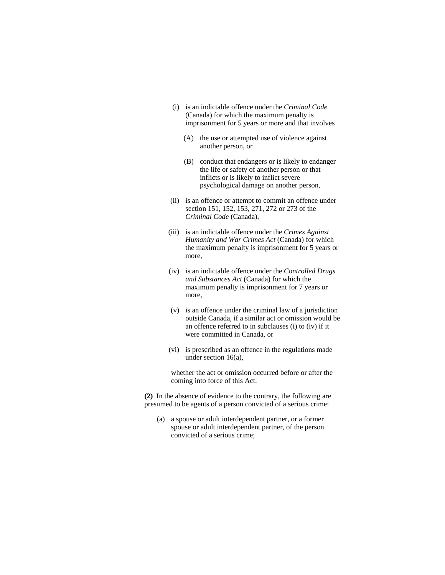- (i) is an indictable offence under the *Criminal Code* (Canada) for which the maximum penalty is imprisonment for 5 years or more and that involves
	- (A) the use or attempted use of violence against another person, or
	- (B) conduct that endangers or is likely to endanger the life or safety of another person or that inflicts or is likely to inflict severe psychological damage on another person,
- (ii) is an offence or attempt to commit an offence under section 151, 152, 153, 271, 272 or 273 of the *Criminal Code* (Canada),
- (iii) is an indictable offence under the *Crimes Against Humanity and War Crimes Act* (Canada) for which the maximum penalty is imprisonment for 5 years or more,
- (iv) is an indictable offence under the *Controlled Drugs and Substances Act* (Canada) for which the maximum penalty is imprisonment for 7 years or more,
- (v) is an offence under the criminal law of a jurisdiction outside Canada, if a similar act or omission would be an offence referred to in subclauses (i) to (iv) if it were committed in Canada, or
- (vi) is prescribed as an offence in the regulations made under section 16(a),

 whether the act or omission occurred before or after the coming into force of this Act.

**(2)** In the absence of evidence to the contrary, the following are presumed to be agents of a person convicted of a serious crime:

(a) a spouse or adult interdependent partner, or a former spouse or adult interdependent partner, of the person convicted of a serious crime;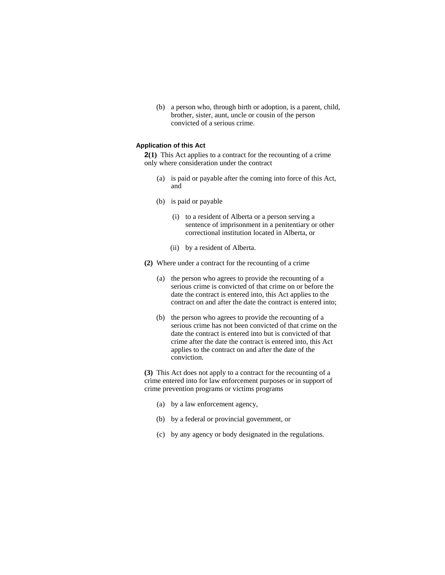(b) a person who, through birth or adoption, is a parent, child, brother, sister, aunt, uncle or cousin of the person convicted of a serious crime.

#### **Application of this Act**

**2(1)** This Act applies to a contract for the recounting of a crime only where consideration under the contract

- (a) is paid or payable after the coming into force of this Act, and
- (b) is paid or payable
	- (i) to a resident of Alberta or a person serving a sentence of imprisonment in a penitentiary or other correctional institution located in Alberta, or
	- (ii) by a resident of Alberta.
- **(2)** Where under a contract for the recounting of a crime
	- (a) the person who agrees to provide the recounting of a serious crime is convicted of that crime on or before the date the contract is entered into, this Act applies to the contract on and after the date the contract is entered into;
	- (b) the person who agrees to provide the recounting of a serious crime has not been convicted of that crime on the date the contract is entered into but is convicted of that crime after the date the contract is entered into, this Act applies to the contract on and after the date of the conviction.

**(3)** This Act does not apply to a contract for the recounting of a crime entered into for law enforcement purposes or in support of crime prevention programs or victims programs

- (a) by a law enforcement agency,
- (b) by a federal or provincial government, or
- (c) by any agency or body designated in the regulations.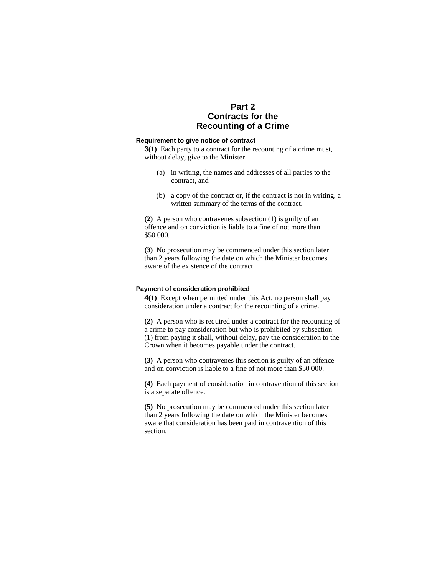# **Part 2 Contracts for the Recounting of a Crime**

### **Requirement to give notice of contract**

**3(1)** Each party to a contract for the recounting of a crime must, without delay, give to the Minister

- (a) in writing, the names and addresses of all parties to the contract, and
- (b) a copy of the contract or, if the contract is not in writing, a written summary of the terms of the contract.

**(2)** A person who contravenes subsection (1) is guilty of an offence and on conviction is liable to a fine of not more than \$50 000.

**(3)** No prosecution may be commenced under this section later than 2 years following the date on which the Minister becomes aware of the existence of the contract.

#### **Payment of consideration prohibited**

**4(1)** Except when permitted under this Act, no person shall pay consideration under a contract for the recounting of a crime.

**(2)** A person who is required under a contract for the recounting of a crime to pay consideration but who is prohibited by subsection (1) from paying it shall, without delay, pay the consideration to the Crown when it becomes payable under the contract.

**(3)** A person who contravenes this section is guilty of an offence and on conviction is liable to a fine of not more than \$50 000.

**(4)** Each payment of consideration in contravention of this section is a separate offence.

**(5)** No prosecution may be commenced under this section later than 2 years following the date on which the Minister becomes aware that consideration has been paid in contravention of this section.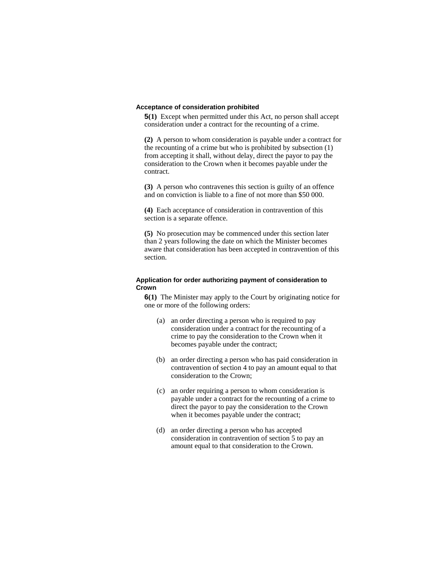#### **Acceptance of consideration prohibited**

**5(1)** Except when permitted under this Act, no person shall accept consideration under a contract for the recounting of a crime.

**(2)** A person to whom consideration is payable under a contract for the recounting of a crime but who is prohibited by subsection (1) from accepting it shall, without delay, direct the payor to pay the consideration to the Crown when it becomes payable under the contract.

**(3)** A person who contravenes this section is guilty of an offence and on conviction is liable to a fine of not more than \$50 000.

**(4)** Each acceptance of consideration in contravention of this section is a separate offence.

**(5)** No prosecution may be commenced under this section later than 2 years following the date on which the Minister becomes aware that consideration has been accepted in contravention of this section.

### **Application for order authorizing payment of consideration to Crown**

**6(1)** The Minister may apply to the Court by originating notice for one or more of the following orders:

- (a) an order directing a person who is required to pay consideration under a contract for the recounting of a crime to pay the consideration to the Crown when it becomes payable under the contract;
- (b) an order directing a person who has paid consideration in contravention of section 4 to pay an amount equal to that consideration to the Crown;
- (c) an order requiring a person to whom consideration is payable under a contract for the recounting of a crime to direct the payor to pay the consideration to the Crown when it becomes payable under the contract;
- (d) an order directing a person who has accepted consideration in contravention of section 5 to pay an amount equal to that consideration to the Crown.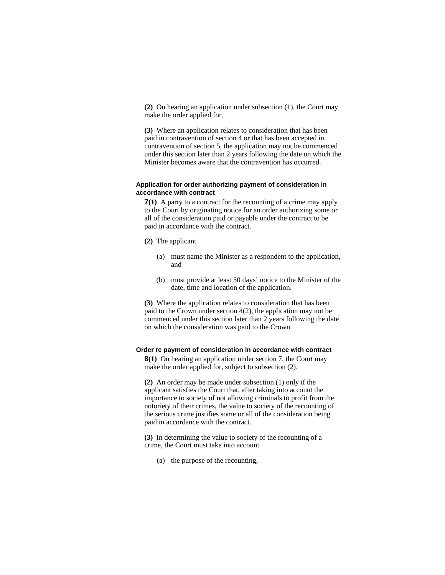**(2)** On hearing an application under subsection (1), the Court may make the order applied for.

**(3)** Where an application relates to consideration that has been paid in contravention of section 4 or that has been accepted in contravention of section 5, the application may not be commenced under this section later than 2 years following the date on which the Minister becomes aware that the contravention has occurred.

### **Application for order authorizing payment of consideration in accordance with contract**

**7(1)** A party to a contract for the recounting of a crime may apply to the Court by originating notice for an order authorizing some or all of the consideration paid or payable under the contract to be paid in accordance with the contract.

- **(2)** The applicant
	- (a) must name the Minister as a respondent to the application, and
	- (b) must provide at least 30 days' notice to the Minister of the date, time and location of the application.

**(3)** Where the application relates to consideration that has been paid to the Crown under section 4(2), the application may not be commenced under this section later than 2 years following the date on which the consideration was paid to the Crown.

#### **Order re payment of consideration in accordance with contract**

**8(1)** On hearing an application under section 7, the Court may make the order applied for, subject to subsection (2).

**(2)** An order may be made under subsection (1) only if the applicant satisfies the Court that, after taking into account the importance to society of not allowing criminals to profit from the notoriety of their crimes, the value to society of the recounting of the serious crime justifies some or all of the consideration being paid in accordance with the contract.

**(3)** In determining the value to society of the recounting of a crime, the Court must take into account

(a) the purpose of the recounting,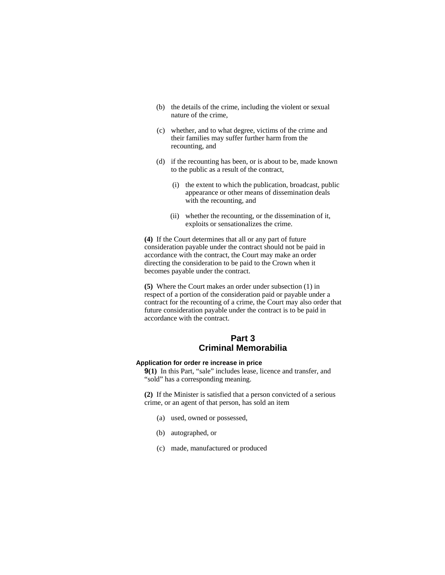- (b) the details of the crime, including the violent or sexual nature of the crime,
- (c) whether, and to what degree, victims of the crime and their families may suffer further harm from the recounting, and
- (d) if the recounting has been, or is about to be, made known to the public as a result of the contract,
	- (i) the extent to which the publication, broadcast, public appearance or other means of dissemination deals with the recounting, and
	- (ii) whether the recounting, or the dissemination of it, exploits or sensationalizes the crime.

**(4)** If the Court determines that all or any part of future consideration payable under the contract should not be paid in accordance with the contract, the Court may make an order directing the consideration to be paid to the Crown when it becomes payable under the contract.

**(5)** Where the Court makes an order under subsection (1) in respect of a portion of the consideration paid or payable under a contract for the recounting of a crime, the Court may also order that future consideration payable under the contract is to be paid in accordance with the contract.

# **Part 3 Criminal Memorabilia**

### **Application for order re increase in price**

**9(1)** In this Part, "sale" includes lease, licence and transfer, and "sold" has a corresponding meaning.

**(2)** If the Minister is satisfied that a person convicted of a serious crime, or an agent of that person, has sold an item

- (a) used, owned or possessed,
- (b) autographed, or
- (c) made, manufactured or produced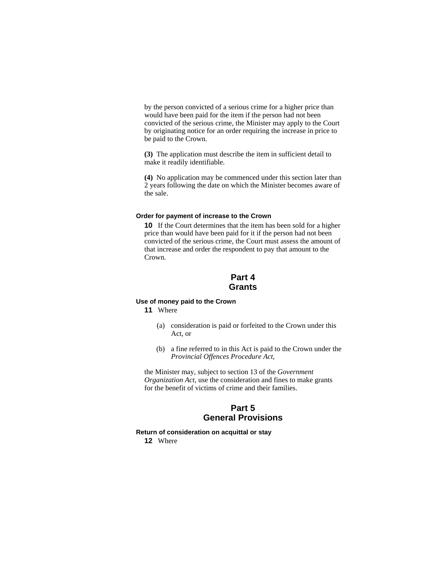by the person convicted of a serious crime for a higher price than would have been paid for the item if the person had not been convicted of the serious crime, the Minister may apply to the Court by originating notice for an order requiring the increase in price to be paid to the Crown.

**(3)** The application must describe the item in sufficient detail to make it readily identifiable.

**(4)** No application may be commenced under this section later than 2 years following the date on which the Minister becomes aware of the sale.

#### **Order for payment of increase to the Crown**

**10** If the Court determines that the item has been sold for a higher price than would have been paid for it if the person had not been convicted of the serious crime, the Court must assess the amount of that increase and order the respondent to pay that amount to the Crown.

# **Part 4 Grants**

#### **Use of money paid to the Crown**

**11** Where

- (a) consideration is paid or forfeited to the Crown under this Act, or
- (b) a fine referred to in this Act is paid to the Crown under the *Provincial Offences Procedure Act*,

the Minister may, subject to section 13 of the *Government Organization Act*, use the consideration and fines to make grants for the benefit of victims of crime and their families.

# **Part 5 General Provisions**

### **Return of consideration on acquittal or stay 12** Where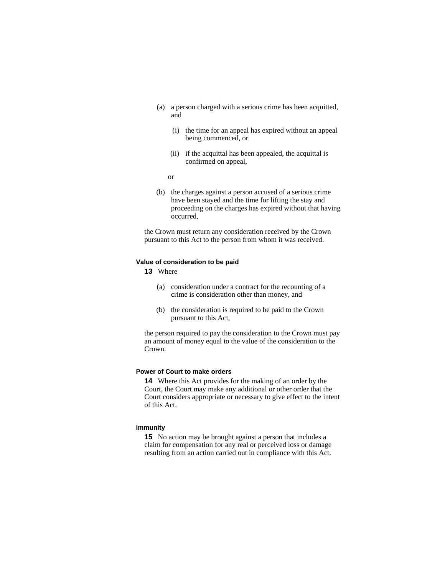- (a) a person charged with a serious crime has been acquitted, and
	- (i) the time for an appeal has expired without an appeal being commenced, or
	- (ii) if the acquittal has been appealed, the acquittal is confirmed on appeal,
- or
	- (b) the charges against a person accused of a serious crime have been stayed and the time for lifting the stay and proceeding on the charges has expired without that having occurred,

the Crown must return any consideration received by the Crown pursuant to this Act to the person from whom it was received.

#### **Value of consideration to be paid**

**13** Where

- (a) consideration under a contract for the recounting of a crime is consideration other than money, and
- (b) the consideration is required to be paid to the Crown pursuant to this Act,

the person required to pay the consideration to the Crown must pay an amount of money equal to the value of the consideration to the Crown.

### **Power of Court to make orders**

**14** Where this Act provides for the making of an order by the Court, the Court may make any additional or other order that the Court considers appropriate or necessary to give effect to the intent of this Act.

### **Immunity**

**15** No action may be brought against a person that includes a claim for compensation for any real or perceived loss or damage resulting from an action carried out in compliance with this Act.